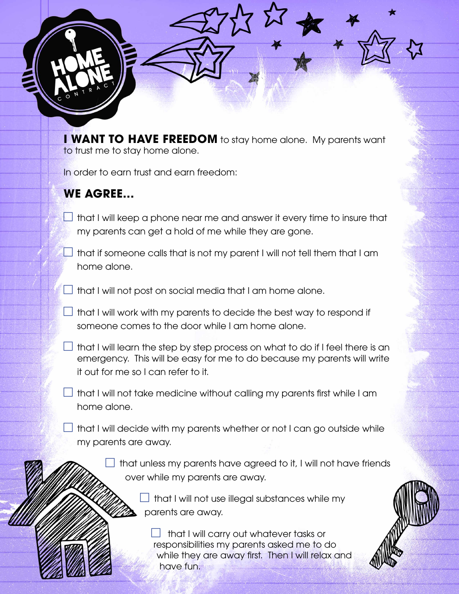**I WANT TO HAVE FREEDOM** to stay home alone. My parents want to trust me to stay home alone.

In order to earn trust and earn freedom:

## **WE AGREE...**

- $\Box$  that I will keep a phone near me and answer it every time to insure that my parents can get a hold of me while they are gone.
- $\Box$  that if someone calls that is not my parent I will not tell them that I am home alone.

 $\Box$  that I will not post on social media that I am home alone.

 $\Box$  that I will work with my parents to decide the best way to respond if someone comes to the door while I am home alone.

- $\Box$  that I will learn the step by step process on what to do if I feel there is an emergency. This will be easy for me to do because my parents will write it out for me so I can refer to it.
- $\perp$  that I will not take medicine without calling my parents first while I am home alone.

 $\Box$  that I will decide with my parents whether or not I can go outside while my parents are away.

> $\Box$  that unless my parents have agreed to it, I will not have friends over while my parents are away.

> > $\Box$  that I will not use illegal substances while my parents are away.

 $\Box$  that I will carry out whatever tasks or responsibilities my parents asked me to do while they are away first. Then I will relax and have fun.